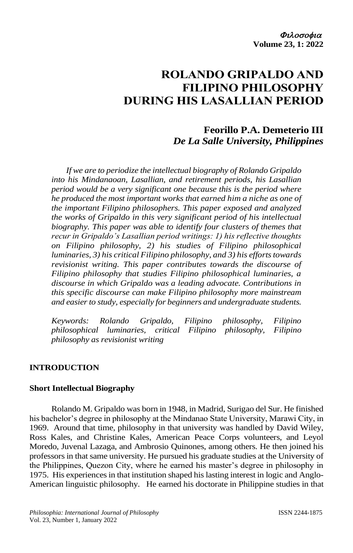# **ROLANDO GRIPALDO AND FILIPINO PHILOSOPHY DURING HIS LASALLIAN PERIOD**

## **Feorillo P.A. Demeterio III** *De La Salle University, Philippines*

*If we are to periodize the intellectual biography of Rolando Gripaldo into his Mindanaoan, Lasallian, and retirement periods, his Lasallian period would be a very significant one because this is the period where he produced the most important works that earned him a niche as one of the important Filipino philosophers. This paper exposed and analyzed the works of Gripaldo in this very significant period of his intellectual biography. This paper was able to identify four clusters of themes that recur in Gripaldo's Lasallian period writings: 1) his reflective thoughts on Filipino philosophy, 2) his studies of Filipino philosophical luminaries, 3) his critical Filipino philosophy, and 3) his efforts towards revisionist writing. This paper contributes towards the discourse of Filipino philosophy that studies Filipino philosophical luminaries, a discourse in which Gripaldo was a leading advocate. Contributions in this specific discourse can make Filipino philosophy more mainstream and easier to study, especially for beginners and undergraduate students.*

*Keywords: Rolando Gripaldo, Filipino philosophy, Filipino philosophical luminaries, critical Filipino philosophy, Filipino philosophy as revisionist writing*

#### **INTRODUCTION**

#### **Short Intellectual Biography**

Rolando M. Gripaldo was born in 1948, in Madrid, Surigao del Sur. He finished his bachelor's degree in philosophy at the Mindanao State University, Marawi City, in 1969. Around that time, philosophy in that university was handled by David Wiley, Ross Kales, and Christine Kales, American Peace Corps volunteers, and Leyol Moredo, Juvenal Lazaga, and Ambrosio Quinones, among others. He then joined his professors in that same university. He pursued his graduate studies at the University of the Philippines, Quezon City, where he earned his master's degree in philosophy in 1975. His experiences in that institution shaped his lasting interest in logic and Anglo-American linguistic philosophy. He earned his doctorate in Philippine studies in that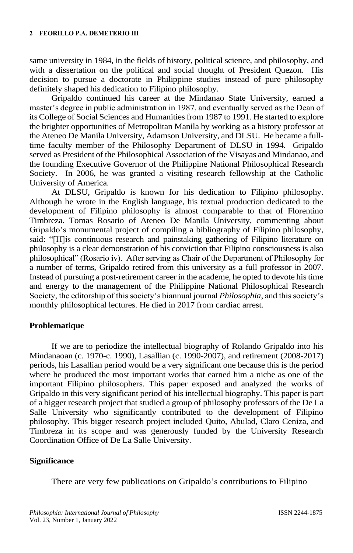same university in 1984, in the fields of history, political science, and philosophy, and with a dissertation on the political and social thought of President Quezon. His decision to pursue a doctorate in Philippine studies instead of pure philosophy definitely shaped his dedication to Filipino philosophy.

Gripaldo continued his career at the Mindanao State University, earned a master's degree in public administration in 1987, and eventually served as the Dean of its College of Social Sciences and Humanities from 1987 to 1991. He started to explore the brighter opportunities of Metropolitan Manila by working as a history professor at the Ateneo De Manila University, Adamson University, and DLSU. He became a fulltime faculty member of the Philosophy Department of DLSU in 1994. Gripaldo served as President of the Philosophical Association of the Visayas and Mindanao, and the founding Executive Governor of the Philippine National Philosophical Research Society. In 2006, he was granted a visiting research fellowship at the Catholic University of America.

At DLSU, Gripaldo is known for his dedication to Filipino philosophy. Although he wrote in the English language, his textual production dedicated to the development of Filipino philosophy is almost comparable to that of Florentino Timbreza. Tomas Rosario of Ateneo De Manila University, commenting about Gripaldo's monumental project of compiling a bibliography of Filipino philosophy, said: "[H]is continuous research and painstaking gathering of Filipino literature on philosophy is a clear demonstration of his conviction that Filipino consciousness is also philosophical" (Rosario iv). After serving as Chair of the Department of Philosophy for a number of terms, Gripaldo retired from this university as a full professor in 2007. Instead of pursuing a post-retirement career in the academe, he opted to devote his time and energy to the management of the Philippine National Philosophical Research Society, the editorship of this society's biannual journal *Philosophia*, and this society's monthly philosophical lectures. He died in 2017 from cardiac arrest.

#### **Problematique**

If we are to periodize the intellectual biography of Rolando Gripaldo into his Mindanaoan (c. 1970-c. 1990), Lasallian (c. 1990-2007), and retirement (2008-2017) periods, his Lasallian period would be a very significant one because this is the period where he produced the most important works that earned him a niche as one of the important Filipino philosophers. This paper exposed and analyzed the works of Gripaldo in this very significant period of his intellectual biography. This paper is part of a bigger research project that studied a group of philosophy professors of the De La Salle University who significantly contributed to the development of Filipino philosophy. This bigger research project included Quito, Abulad, Claro Ceniza, and Timbreza in its scope and was generously funded by the University Research Coordination Office of De La Salle University.

#### **Significance**

There are very few publications on Gripaldo's contributions to Filipino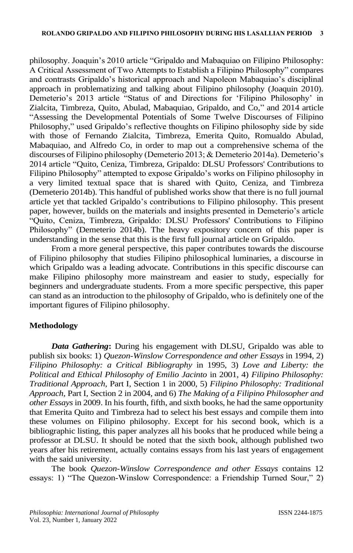philosophy. Joaquin's 2010 article "Gripaldo and Mabaquiao on Filipino Philosophy: A Critical Assessment of Two Attempts to Establish a Filipino Philosophy" compares and contrasts Gripaldo's historical approach and Napoleon Mabaquiao's disciplinal approach in problematizing and talking about Filipino philosophy (Joaquin 2010). Demeterio's 2013 article "Status of and Directions for 'Filipino Philosophy' in Zialcita, Timbreza, Quito, Abulad, Mabaquiao, Gripaldo, and Co," and 2014 article "Assessing the Developmental Potentials of Some Twelve Discourses of Filipino Philosophy," used Gripaldo's reflective thoughts on Filipino philosophy side by side with those of Fernando Zialcita, Timbreza, Emerita Quito, Romualdo Abulad, Mabaquiao, and Alfredo Co, in order to map out a comprehensive schema of the discourses of Filipino philosophy (Demeterio 2013; & Demeterio 2014a). Demeterio's 2014 article "Quito, Ceniza, Timbreza, Gripaldo: DLSU Professors' Contributions to Filipino Philosophy" attempted to expose Gripaldo's works on Filipino philosophy in a very limited textual space that is shared with Quito, Ceniza, and Timbreza (Demeterio 2014b). This handful of published works show that there is no full journal article yet that tackled Gripaldo's contributions to Filipino philosophy. This present paper, however, builds on the materials and insights presented in Demeterio's article "Quito, Ceniza, Timbreza, Gripaldo: DLSU Professors' Contributions to Filipino Philosophy" (Demeterio 2014b). The heavy expository concern of this paper is understanding in the sense that this is the first full journal article on Gripaldo.

From a more general perspective, this paper contributes towards the discourse of Filipino philosophy that studies Filipino philosophical luminaries, a discourse in which Gripaldo was a leading advocate. Contributions in this specific discourse can make Filipino philosophy more mainstream and easier to study, especially for beginners and undergraduate students. From a more specific perspective, this paper can stand as an introduction to the philosophy of Gripaldo, who is definitely one of the important figures of Filipino philosophy.

### **Methodology**

*Data Gathering***:** During his engagement with DLSU, Gripaldo was able to publish six books: 1) *Quezon-Winslow Correspondence and other Essays* in 1994, 2) *Filipino Philosophy: a Critical Bibliography* in 1995, 3) *Love and Liberty: the Political and Ethical Philosophy of Emilio Jacinto* in 2001, 4) *Filipino Philosophy: Traditional Approach*, Part I, Section 1 in 2000, 5) *Filipino Philosophy: Traditional Approach*, Part I, Section 2 in 2004, and 6) *The Making of a Filipino Philosopher and other Essays* in 2009. In his fourth, fifth, and sixth books, he had the same opportunity that Emerita Quito and Timbreza had to select his best essays and compile them into these volumes on Filipino philosophy. Except for his second book, which is a bibliographic listing, this paper analyzes all his books that he produced while being a professor at DLSU. It should be noted that the sixth book, although published two years after his retirement, actually contains essays from his last years of engagement with the said university.

The book *Quezon-Winslow Correspondence and other Essays* contains 12 essays: 1) "The Quezon-Winslow Correspondence: a Friendship Turned Sour," 2)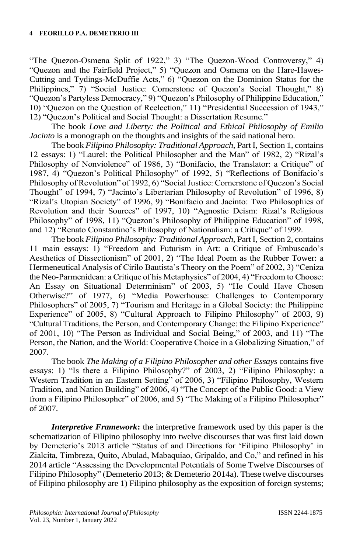"The Quezon-Osmena Split of 1922," 3) "The Quezon-Wood Controversy," 4) "Quezon and the Fairfield Project," 5) "Quezon and Osmena on the Hare-Hawes-Cutting and Tydings-McDuffie Acts," 6) "Quezon on the Dominion Status for the Philippines," 7) "Social Justice: Cornerstone of Quezon's Social Thought," 8) "Quezon's Partyless Democracy," 9) "Quezon's Philosophy of Philippine Education," 10) "Quezon on the Question of Reelection," 11) "Presidential Succession of 1943," 12) "Quezon's Political and Social Thought: a Dissertation Resume."

The book *Love and Liberty: the Political and Ethical Philosophy of Emilio Jacinto* is a monograph on the thoughts and insights of the said national hero.

The book *Filipino Philosophy: Traditional Approach*, Part I, Section 1, contains 12 essays: 1) "Laurel: the Political Philosopher and the Man" of 1982, 2) "Rizal's Philosophy of Nonviolence" of 1986, 3) "Bonifacio, the Translator: a Critique" of 1987, 4) "Quezon's Political Philosophy" of 1992, 5) "Reflections of Bonifacio's Philosophy of Revolution" of 1992, 6) "Social Justice: Cornerstone of Quezon's Social Thought" of 1994, 7) "Jacinto's Libertarian Philosophy of Revolution" of 1996, 8) "Rizal's Utopian Society" of 1996, 9) "Bonifacio and Jacinto: Two Philosophies of Revolution and their Sources" of 1997, 10) "Agnostic Deism: Rizal's Religious Philosophy" of 1998, 11) "Quezon's Philosophy of Philippine Education" of 1998, and 12) "Renato Constantino's Philosophy of Nationalism: a Critique" of 1999.

The book *Filipino Philosophy: Traditional Approach*, Part I, Section 2, contains 11 main essays: 1) "Freedom and Futurism in Art: a Critique of Embuscado's Aesthetics of Dissectionism" of 2001, 2) "The Ideal Poem as the Rubber Tower: a Hermeneutical Analysis of Cirilo Bautista's Theory on the Poem" of 2002, 3) "Ceniza the Neo-Parmenidean: a Critique of his Metaphysics" of 2004, 4) "Freedom to Choose: An Essay on Situational Determinism" of 2003, 5) "He Could Have Chosen Otherwise?" of 1977, 6) "Media Powerhouse: Challenges to Contemporary Philosophers" of 2005, 7) "Tourism and Heritage in a Global Society: the Philippine Experience" of 2005, 8) "Cultural Approach to Filipino Philosophy" of 2003, 9) "Cultural Traditions, the Person, and Contemporary Change: the Filipino Experience" of 2001, 10) "The Person as Individual and Social Being," of 2003, and 11) "The Person, the Nation, and the World: Cooperative Choice in a Globalizing Situation," of 2007.

The book *The Making of a Filipino Philosopher and other Essays* contains five essays: 1) "Is there a Filipino Philosophy?" of 2003, 2) "Filipino Philosophy: a Western Tradition in an Eastern Setting" of 2006, 3) "Filipino Philosophy, Western Tradition, and Nation Building" of 2006, 4) "The Concept of the Public Good: a View from a Filipino Philosopher" of 2006, and 5) "The Making of a Filipino Philosopher" of 2007.

*Interpretive Framework***:** the interpretive framework used by this paper is the schematization of Filipino philosophy into twelve discourses that was first laid down by Demeterio's 2013 article "Status of and Directions for 'Filipino Philosophy' in Zialcita, Timbreza, Quito, Abulad, Mabaquiao, Gripaldo, and Co," and refined in his 2014 article "Assessing the Developmental Potentials of Some Twelve Discourses of Filipino Philosophy" (Demeterio 2013; & Demeterio 2014a). These twelve discourses of Filipino philosophy are 1) Filipino philosophy as the exposition of foreign systems;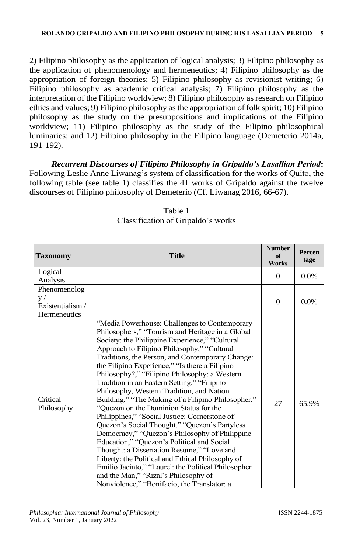2) Filipino philosophy as the application of logical analysis; 3) Filipino philosophy as the application of phenomenology and hermeneutics; 4) Filipino philosophy as the appropriation of foreign theories; 5) Filipino philosophy as revisionist writing; 6) Filipino philosophy as academic critical analysis; 7) Filipino philosophy as the interpretation of the Filipino worldview; 8) Filipino philosophy as research on Filipino ethics and values; 9) Filipino philosophy as the appropriation of folk spirit; 10) Filipino philosophy as the study on the presuppositions and implications of the Filipino worldview; 11) Filipino philosophy as the study of the Filipino philosophical luminaries; and 12) Filipino philosophy in the Filipino language (Demeterio 2014a, 191-192).

*Recurrent Discourses of Filipino Philosophy in Gripaldo's Lasallian Period***:**  Following Leslie Anne Liwanag's system of classification for the works of Quito, the following table (see table 1) classifies the 41 works of Gripaldo against the twelve discourses of Filipino philosophy of Demeterio (Cf. Liwanag 2016, 66-67).

| <b>Taxonomy</b>        | <b>Title</b>                                                                                                                                                                                                                                                                                                                                                                                                                                                                                                                                                                                                                                                                                                                                                                                                                                                                                                                                                                                            | <b>Number</b><br>of<br><b>Works</b> | Percen<br>tage |
|------------------------|---------------------------------------------------------------------------------------------------------------------------------------------------------------------------------------------------------------------------------------------------------------------------------------------------------------------------------------------------------------------------------------------------------------------------------------------------------------------------------------------------------------------------------------------------------------------------------------------------------------------------------------------------------------------------------------------------------------------------------------------------------------------------------------------------------------------------------------------------------------------------------------------------------------------------------------------------------------------------------------------------------|-------------------------------------|----------------|
| Logical                |                                                                                                                                                                                                                                                                                                                                                                                                                                                                                                                                                                                                                                                                                                                                                                                                                                                                                                                                                                                                         | $\Omega$                            | $0.0\%$        |
| Analysis               |                                                                                                                                                                                                                                                                                                                                                                                                                                                                                                                                                                                                                                                                                                                                                                                                                                                                                                                                                                                                         |                                     |                |
| Phenomenolog           |                                                                                                                                                                                                                                                                                                                                                                                                                                                                                                                                                                                                                                                                                                                                                                                                                                                                                                                                                                                                         |                                     |                |
| V /                    |                                                                                                                                                                                                                                                                                                                                                                                                                                                                                                                                                                                                                                                                                                                                                                                                                                                                                                                                                                                                         | $\Omega$                            | $0.0\%$        |
| Existentialism /       |                                                                                                                                                                                                                                                                                                                                                                                                                                                                                                                                                                                                                                                                                                                                                                                                                                                                                                                                                                                                         |                                     |                |
| <b>Hermeneutics</b>    |                                                                                                                                                                                                                                                                                                                                                                                                                                                                                                                                                                                                                                                                                                                                                                                                                                                                                                                                                                                                         |                                     |                |
| Critical<br>Philosophy | "Media Powerhouse: Challenges to Contemporary<br>Philosophers," "Tourism and Heritage in a Global<br>Society: the Philippine Experience," "Cultural<br>Approach to Filipino Philosophy," "Cultural<br>Traditions, the Person, and Contemporary Change:<br>the Filipino Experience," "Is there a Filipino<br>Philosophy?," "Filipino Philosophy: a Western<br>Tradition in an Eastern Setting," "Filipino<br>Philosophy, Western Tradition, and Nation<br>Building," "The Making of a Filipino Philosopher,"<br>"Quezon on the Dominion Status for the<br>Philippines," "Social Justice: Cornerstone of<br>Quezon's Social Thought," "Quezon's Partyless<br>Democracy," "Quezon's Philosophy of Philippine<br>Education," "Quezon's Political and Social<br>Thought: a Dissertation Resume," "Love and<br>Liberty: the Political and Ethical Philosophy of<br>Emilio Jacinto," "Laurel: the Political Philosopher<br>and the Man," "Rizal's Philosophy of<br>Nonviolence," "Bonifacio, the Translator: a | 27                                  | 65.9%          |

### Table 1 Classification of Gripaldo's works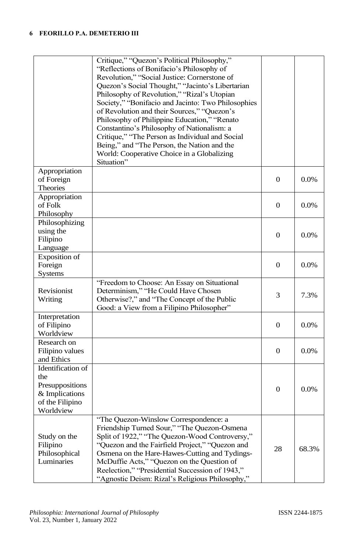|                                                                                               | Critique," "Quezon's Political Philosophy,"<br>"Reflections of Bonifacio's Philosophy of<br>Revolution," "Social Justice: Cornerstone of<br>Quezon's Social Thought," "Jacinto's Libertarian<br>Philosophy of Revolution," "Rizal's Utopian<br>Society," "Bonifacio and Jacinto: Two Philosophies<br>of Revolution and their Sources," "Quezon's<br>Philosophy of Philippine Education," "Renato<br>Constantino's Philosophy of Nationalism: a<br>Critique," "The Person as Individual and Social<br>Being," and "The Person, the Nation and the<br>World: Cooperative Choice in a Globalizing<br>Situation" |                |         |
|-----------------------------------------------------------------------------------------------|--------------------------------------------------------------------------------------------------------------------------------------------------------------------------------------------------------------------------------------------------------------------------------------------------------------------------------------------------------------------------------------------------------------------------------------------------------------------------------------------------------------------------------------------------------------------------------------------------------------|----------------|---------|
| Appropriation<br>of Foreign<br>Theories                                                       |                                                                                                                                                                                                                                                                                                                                                                                                                                                                                                                                                                                                              | $\mathbf{0}$   | $0.0\%$ |
| Appropriation<br>of Folk<br>Philosophy                                                        |                                                                                                                                                                                                                                                                                                                                                                                                                                                                                                                                                                                                              | $\overline{0}$ | $0.0\%$ |
| Philosophizing<br>using the<br>Filipino<br>Language                                           |                                                                                                                                                                                                                                                                                                                                                                                                                                                                                                                                                                                                              | $\mathbf{0}$   | $0.0\%$ |
| Exposition of<br>Foreign<br>Systems                                                           |                                                                                                                                                                                                                                                                                                                                                                                                                                                                                                                                                                                                              | $\overline{0}$ | 0.0%    |
| Revisionist<br>Writing                                                                        | "Freedom to Choose: An Essay on Situational<br>Determinism," "He Could Have Chosen<br>Otherwise?," and "The Concept of the Public<br>Good: a View from a Filipino Philosopher"                                                                                                                                                                                                                                                                                                                                                                                                                               | 3              | 7.3%    |
| Interpretation<br>of Filipino<br>Worldview                                                    |                                                                                                                                                                                                                                                                                                                                                                                                                                                                                                                                                                                                              | $\mathbf{0}$   | $0.0\%$ |
| Research on<br>Filipino values<br>and Ethics                                                  |                                                                                                                                                                                                                                                                                                                                                                                                                                                                                                                                                                                                              | $\mathbf{0}$   | $0.0\%$ |
| Identification of<br>the<br>Presuppositions<br>& Implications<br>of the Filipino<br>Worldview |                                                                                                                                                                                                                                                                                                                                                                                                                                                                                                                                                                                                              | $\mathbf{0}$   | $0.0\%$ |
| Study on the<br>Filipino<br>Philosophical<br>Luminaries                                       | "The Quezon-Winslow Correspondence: a<br>Friendship Turned Sour," "The Quezon-Osmena<br>Split of 1922," "The Quezon-Wood Controversy,"<br>"Quezon and the Fairfield Project," "Quezon and<br>Osmena on the Hare-Hawes-Cutting and Tydings-<br>McDuffie Acts," "Quezon on the Question of<br>Reelection," "Presidential Succession of 1943,"<br>"Agnostic Deism: Rizal's Religious Philosophy,"                                                                                                                                                                                                               | 28             | 68.3%   |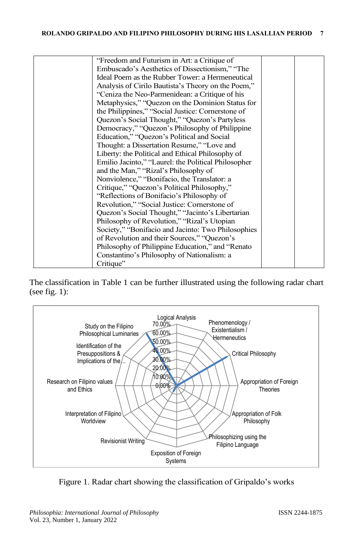| "Freedom and Futurism in Art: a Critique of         |  |
|-----------------------------------------------------|--|
| Embuscado's Aesthetics of Dissectionism," "The      |  |
| Ideal Poem as the Rubber Tower: a Hermeneutical     |  |
| Analysis of Cirilo Bautista's Theory on the Poem,"  |  |
| "Ceniza the Neo-Parmenidean: a Critique of his      |  |
| Metaphysics," "Quezon on the Dominion Status for    |  |
| the Philippines," "Social Justice: Cornerstone of   |  |
| Quezon's Social Thought," "Quezon's Partyless       |  |
| Democracy," "Quezon's Philosophy of Philippine      |  |
| Education," "Quezon's Political and Social          |  |
| Thought: a Dissertation Resume," "Love and          |  |
| Liberty: the Political and Ethical Philosophy of    |  |
| Emilio Jacinto," "Laurel: the Political Philosopher |  |
| and the Man," "Rizal's Philosophy of                |  |
| Nonviolence," "Bonifacio, the Translator: a         |  |
| Critique," "Quezon's Political Philosophy,"         |  |
| "Reflections of Bonifacio's Philosophy of           |  |
| Revolution," "Social Justice: Cornerstone of        |  |
| Quezon's Social Thought," "Jacinto's Libertarian    |  |
| Philosophy of Revolution," "Rizal's Utopian         |  |
| Society," "Bonifacio and Jacinto: Two Philosophies  |  |
| of Revolution and their Sources," "Quezon's         |  |
| Philosophy of Philippine Education," and "Renato"   |  |
| Constantino's Philosophy of Nationalism: a          |  |
| Critique"                                           |  |
|                                                     |  |

The classification in Table 1 can be further illustrated using the following radar chart (see fig. 1):



Figure 1. Radar chart showing the classification of Gripaldo's works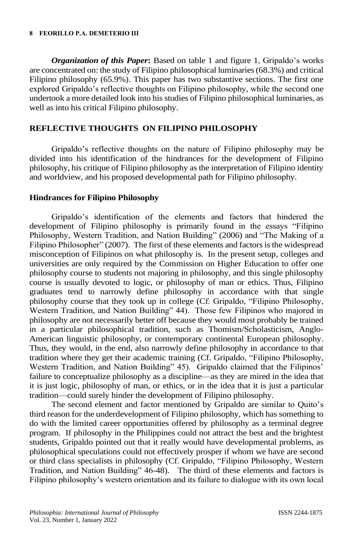#### **8 FEORILLO P.A. DEMETERIO III**

*Organization of this Paper***:** Based on table 1 and figure 1, Gripaldo's works are concentrated on: the study of Filipino philosophical luminaries (68.3%) and critical Filipino philosophy (65.9%). This paper has two substantive sections. The first one explored Gripaldo's reflective thoughts on Filipino philosophy, while the second one undertook a more detailed look into his studies of Filipino philosophical luminaries, as well as into his critical Filipino philosophy.

#### **REFLECTIVE THOUGHTS ON FILIPINO PHILOSOPHY**

Gripaldo's reflective thoughts on the nature of Filipino philosophy may be divided into his identification of the hindrances for the development of Filipino philosophy, his critique of Filipino philosophy as the interpretation of Filipino identity and worldview, and his proposed developmental path for Filipino philosophy.

#### **Hindrances for Filipino Philosophy**

Gripaldo's identification of the elements and factors that hindered the development of Filipino philosophy is primarily found in the essays "Filipino Philosophy, Western Tradition, and Nation Building" (2006) and "The Making of a Filipino Philosopher" (2007). The first of these elements and factors is the widespread misconception of Filipinos on what philosophy is. In the present setup, colleges and universities are only required by the Commission on Higher Education to offer one philosophy course to students not majoring in philosophy, and this single philosophy course is usually devoted to logic, or philosophy of man or ethics. Thus, Filipino graduates tend to narrowly define philosophy in accordance with that single philosophy course that they took up in college (Cf. Gripaldo, "Filipino Philosophy, Western Tradition, and Nation Building" 44). Those few Filipinos who majored in philosophy are not necessarily better off because they would most probably be trained in a particular philosophical tradition, such as Thomism/Scholasticism, Anglo-American linguistic philosophy, or contemporary continental European philosophy. Thus, they would, in the end, also narrowly define philosophy in accordance to that tradition where they get their academic training (Cf. Gripaldo, "Filipino Philosophy, Western Tradition, and Nation Building" 45). Gripaldo claimed that the Filipinos' failure to conceptualize philosophy as a discipline—as they are mired in the idea that it is just logic, philosophy of man, or ethics, or in the idea that it is just a particular tradition—could surely hinder the development of Filipino philosophy.

The second element and factor mentioned by Gripaldo are similar to Quito's third reason for the underdevelopment of Filipino philosophy, which has something to do with the limited career opportunities offered by philosophy as a terminal degree program. If philosophy in the Philippines could not attract the best and the brightest students, Gripaldo pointed out that it really would have developmental problems, as philosophical speculations could not effectively prosper if whom we have are second or third class specialists in philosophy (Cf. Gripaldo, "Filipino Philosophy, Western Tradition, and Nation Building" 46-48). The third of these elements and factors is Filipino philosophy's western orientation and its failure to dialogue with its own local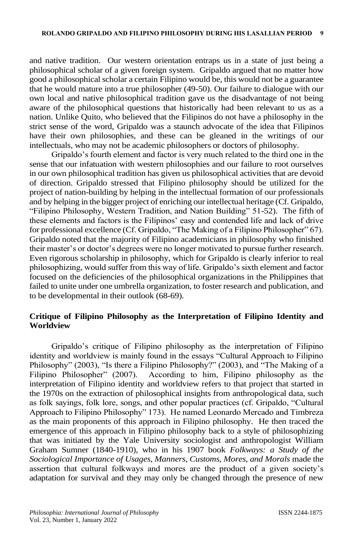and native tradition. Our western orientation entraps us in a state of just being a philosophical scholar of a given foreign system. Gripaldo argued that no matter how good a philosophical scholar a certain Filipino would be, this would not be a guarantee that he would mature into a true philosopher (49-50). Our failure to dialogue with our own local and native philosophical tradition gave us the disadvantage of not being aware of the philosophical questions that historically had been relevant to us as a nation. Unlike Quito, who believed that the Filipinos do not have a philosophy in the strict sense of the word, Gripaldo was a staunch advocate of the idea that Filipinos have their own philosophies, and these can be gleaned in the writings of our intellectuals, who may not be academic philosophers or doctors of philosophy.

Gripaldo's fourth element and factor is very much related to the third one in the sense that our infatuation with western philosophies and our failure to root ourselves in our own philosophical tradition has given us philosophical activities that are devoid of direction. Gripaldo stressed that Filipino philosophy should be utilized for the project of nation-building by helping in the intellectual formation of our professionals and by helping in the bigger project of enriching our intellectual heritage (Cf. Gripaldo, "Filipino Philosophy, Western Tradition, and Nation Building" 51-52). The fifth of these elements and factors is the Filipinos' easy and contended life and lack of drive for professional excellence (Cf. Gripaldo, "The Making of a Filipino Philosopher" 67). Gripaldo noted that the majority of Filipino academicians in philosophy who finished their master's or doctor's degrees were no longer motivated to pursue further research. Even rigorous scholarship in philosophy, which for Gripaldo is clearly inferior to real philosophizing, would suffer from this way of life. Gripaldo's sixth element and factor focused on the deficiencies of the philosophical organizations in the Philippines that failed to unite under one umbrella organization, to foster research and publication, and to be developmental in their outlook (68-69).

#### **Critique of Filipino Philosophy as the Interpretation of Filipino Identity and Worldview**

Gripaldo's critique of Filipino philosophy as the interpretation of Filipino identity and worldview is mainly found in the essays "Cultural Approach to Filipino Philosophy" (2003), "Is there a Filipino Philosophy?" (2003), and "The Making of a Filipino Philosopher" (2007). According to him, Filipino philosophy as the interpretation of Filipino identity and worldview refers to that project that started in the 1970s on the extraction of philosophical insights from anthropological data, such as folk sayings, folk lore, songs, and other popular practices (cf. Gripaldo, "Cultural Approach to Filipino Philosophy" 173). He named Leonardo Mercado and Timbreza as the main proponents of this approach in Filipino philosophy. He then traced the emergence of this approach in Filipino philosophy back to a style of philosophizing that was initiated by the Yale University sociologist and anthropologist William Graham Sumner (1840-1910), who in his 1907 book *Folkways: a Study of the Sociological Importance of Usages, Manners, Customs, Mores, and Morals* made the assertion that cultural folkways and mores are the product of a given society's adaptation for survival and they may only be changed through the presence of new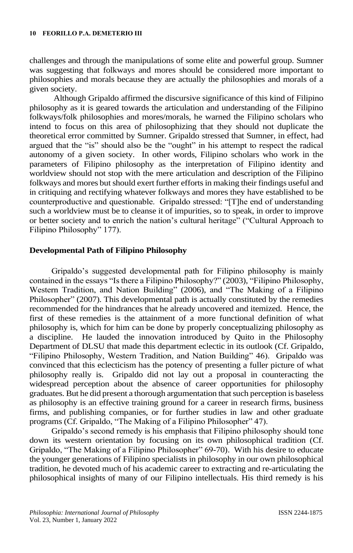challenges and through the manipulations of some elite and powerful group. Sumner was suggesting that folkways and mores should be considered more important to philosophies and morals because they are actually the philosophies and morals of a given society.

Although Gripaldo affirmed the discursive significance of this kind of Filipino philosophy as it is geared towards the articulation and understanding of the Filipino folkways/folk philosophies and mores/morals, he warned the Filipino scholars who intend to focus on this area of philosophizing that they should not duplicate the theoretical error committed by Sumner. Gripaldo stressed that Sumner, in effect, had argued that the "is" should also be the "ought" in his attempt to respect the radical autonomy of a given society. In other words, Filipino scholars who work in the parameters of Filipino philosophy as the interpretation of Filipino identity and worldview should not stop with the mere articulation and description of the Filipino folkways and mores but should exert further efforts in making their findings useful and in critiquing and rectifying whatever folkways and mores they have established to be counterproductive and questionable. Gripaldo stressed: "[T]he end of understanding such a worldview must be to cleanse it of impurities, so to speak, in order to improve or better society and to enrich the nation's cultural heritage" ("Cultural Approach to Filipino Philosophy" 177).

#### **Developmental Path of Filipino Philosophy**

Gripaldo's suggested developmental path for Filipino philosophy is mainly contained in the essays "Is there a Filipino Philosophy?" (2003), "Filipino Philosophy, Western Tradition, and Nation Building" (2006), and "The Making of a Filipino Philosopher" (2007). This developmental path is actually constituted by the remedies recommended for the hindrances that he already uncovered and itemized. Hence, the first of these remedies is the attainment of a more functional definition of what philosophy is, which for him can be done by properly conceptualizing philosophy as a discipline. He lauded the innovation introduced by Quito in the Philosophy Department of DLSU that made this department eclectic in its outlook (Cf. Gripaldo, "Filipino Philosophy, Western Tradition, and Nation Building" 46). Gripaldo was convinced that this eclecticism has the potency of presenting a fuller picture of what philosophy really is. Gripaldo did not lay out a proposal in counteracting the widespread perception about the absence of career opportunities for philosophy graduates. But he did present a thorough argumentation that such perception is baseless as philosophy is an effective training ground for a career in research firms, business firms, and publishing companies, or for further studies in law and other graduate programs (Cf. Gripaldo, "The Making of a Filipino Philosopher" 47).

Gripaldo's second remedy is his emphasis that Filipino philosophy should tone down its western orientation by focusing on its own philosophical tradition (Cf. Gripaldo, "The Making of a Filipino Philosopher" 69-70). With his desire to educate the younger generations of Filipino specialists in philosophy in our own philosophical tradition, he devoted much of his academic career to extracting and re-articulating the philosophical insights of many of our Filipino intellectuals. His third remedy is his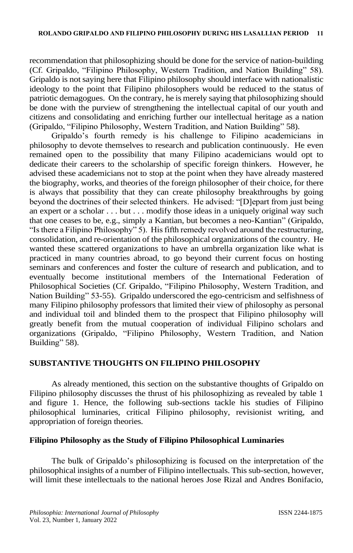recommendation that philosophizing should be done for the service of nation-building (Cf. Gripaldo, "Filipino Philosophy, Western Tradition, and Nation Building" 58). Gripaldo is not saying here that Filipino philosophy should interface with nationalistic ideology to the point that Filipino philosophers would be reduced to the status of patriotic demagogues. On the contrary, he is merely saying that philosophizing should be done with the purview of strengthening the intellectual capital of our youth and citizens and consolidating and enriching further our intellectual heritage as a nation (Gripaldo, "Filipino Philosophy, Western Tradition, and Nation Building" 58).

Gripaldo's fourth remedy is his challenge to Filipino academicians in philosophy to devote themselves to research and publication continuously. He even remained open to the possibility that many Filipino academicians would opt to dedicate their careers to the scholarship of specific foreign thinkers. However, he advised these academicians not to stop at the point when they have already mastered the biography, works, and theories of the foreign philosopher of their choice, for there is always that possibility that they can create philosophy breakthroughs by going beyond the doctrines of their selected thinkers. He advised: "[D]epart from just being an expert or a scholar . . . but . . . modify those ideas in a uniquely original way such that one ceases to be, e.g., simply a Kantian, but becomes a neo-Kantian" (Gripaldo, "Is there a Filipino Philosophy" 5). His fifth remedy revolved around the restructuring, consolidation, and re-orientation of the philosophical organizations of the country. He wanted these scattered organizations to have an umbrella organization like what is practiced in many countries abroad, to go beyond their current focus on hosting seminars and conferences and foster the culture of research and publication, and to eventually become institutional members of the International Federation of Philosophical Societies (Cf. Gripaldo, "Filipino Philosophy, Western Tradition, and Nation Building" 53-55). Gripaldo underscored the ego-centricism and selfishness of many Filipino philosophy professors that limited their view of philosophy as personal and individual toil and blinded them to the prospect that Filipino philosophy will greatly benefit from the mutual cooperation of individual Filipino scholars and organizations (Gripaldo, "Filipino Philosophy, Western Tradition, and Nation Building" 58).

### **SUBSTANTIVE THOUGHTS ON FILIPINO PHILOSOPHY**

As already mentioned, this section on the substantive thoughts of Gripaldo on Filipino philosophy discusses the thrust of his philosophizing as revealed by table 1 and figure 1. Hence, the following sub-sections tackle his studies of Filipino philosophical luminaries, critical Filipino philosophy, revisionist writing, and appropriation of foreign theories.

#### **Filipino Philosophy as the Study of Filipino Philosophical Luminaries**

The bulk of Gripaldo's philosophizing is focused on the interpretation of the philosophical insights of a number of Filipino intellectuals. This sub-section, however, will limit these intellectuals to the national heroes Jose Rizal and Andres Bonifacio,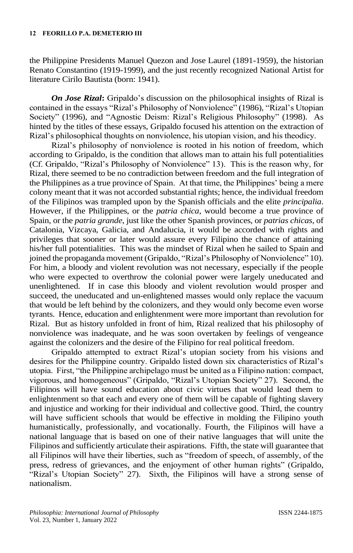the Philippine Presidents Manuel Quezon and Jose Laurel (1891-1959), the historian Renato Constantino (1919-1999), and the just recently recognized National Artist for literature Cirilo Bautista (born: 1941).

*On Jose Rizal***:** Gripaldo's discussion on the philosophical insights of Rizal is contained in the essays "Rizal's Philosophy of Nonviolence" (1986), "Rizal's Utopian Society" (1996), and "Agnostic Deism: Rizal's Religious Philosophy" (1998). As hinted by the titles of these essays, Gripaldo focused his attention on the extraction of Rizal's philosophical thoughts on nonviolence, his utopian vision, and his theodicy.

Rizal's philosophy of nonviolence is rooted in his notion of freedom, which according to Gripaldo, is the condition that allows man to attain his full potentialities (Cf. Gripaldo, "Rizal's Philosophy of Nonviolence" 13). This is the reason why, for Rizal, there seemed to be no contradiction between freedom and the full integration of the Philippines as a true province of Spain. At that time, the Philippines' being a mere colony meant that it was not accorded substantial rights; hence, the individual freedom of the Filipinos was trampled upon by the Spanish officials and the elite *principalia*. However, if the Philippines, or the *patria chica*, would become a true province of Spain, or the *patria grande*, just like the other Spanish provinces, or *patrias chicas*, of Catalonia, Vizcaya, Galicia, and Andalucia, it would be accorded with rights and privileges that sooner or later would assure every Filipino the chance of attaining his/her full potentialities. This was the mindset of Rizal when he sailed to Spain and joined the propaganda movement (Gripaldo, "Rizal's Philosophy of Nonviolence" 10). For him, a bloody and violent revolution was not necessary, especially if the people who were expected to overthrow the colonial power were largely uneducated and unenlightened. If in case this bloody and violent revolution would prosper and succeed, the uneducated and un-enlightened masses would only replace the vacuum that would be left behind by the colonizers, and they would only become even worse tyrants. Hence, education and enlightenment were more important than revolution for Rizal. But as history unfolded in front of him, Rizal realized that his philosophy of nonviolence was inadequate, and he was soon overtaken by feelings of vengeance against the colonizers and the desire of the Filipino for real political freedom.

Gripaldo attempted to extract Rizal's utopian society from his visions and desires for the Philippine country. Gripaldo listed down six characteristics of Rizal's utopia. First, "the Philippine archipelago must be united as a Filipino nation: compact, vigorous, and homogeneous" (Gripaldo, "Rizal's Utopian Society" 27). Second, the Filipinos will have sound education about civic virtues that would lead them to enlightenment so that each and every one of them will be capable of fighting slavery and injustice and working for their individual and collective good. Third, the country will have sufficient schools that would be effective in molding the Filipino youth humanistically, professionally, and vocationally. Fourth, the Filipinos will have a national language that is based on one of their native languages that will unite the Filipinos and sufficiently articulate their aspirations. Fifth, the state will guarantee that all Filipinos will have their liberties, such as "freedom of speech, of assembly, of the press, redress of grievances, and the enjoyment of other human rights" (Gripaldo, "Rizal's Utopian Society" 27). Sixth, the Filipinos will have a strong sense of nationalism.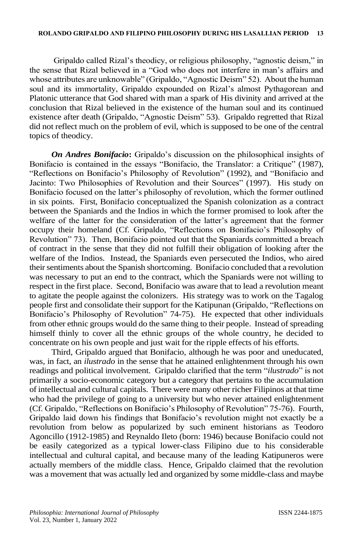Gripaldo called Rizal's theodicy, or religious philosophy, "agnostic deism," in the sense that Rizal believed in a "God who does not interfere in man's affairs and whose attributes are unknowable" (Gripaldo, "Agnostic Deism" 52). About the human soul and its immortality, Gripaldo expounded on Rizal's almost Pythagorean and Platonic utterance that God shared with man a spark of His divinity and arrived at the conclusion that Rizal believed in the existence of the human soul and its continued existence after death (Gripaldo, "Agnostic Deism" 53). Gripaldo regretted that Rizal did not reflect much on the problem of evil, which is supposed to be one of the central topics of theodicy.

*On Andres Bonifacio***:** Gripaldo's discussion on the philosophical insights of Bonifacio is contained in the essays "Bonifacio, the Translator: a Critique" (1987), "Reflections on Bonifacio's Philosophy of Revolution" (1992), and "Bonifacio and Jacinto: Two Philosophies of Revolution and their Sources" (1997). His study on Bonifacio focused on the latter's philosophy of revolution, which the former outlined in six points. First, Bonifacio conceptualized the Spanish colonization as a contract between the Spaniards and the Indios in which the former promised to look after the welfare of the latter for the consideration of the latter's agreement that the former occupy their homeland (Cf. Gripaldo, "Reflections on Bonifacio's Philosophy of Revolution" 73). Then, Bonifacio pointed out that the Spaniards committed a breach of contract in the sense that they did not fulfill their obligation of looking after the welfare of the Indios. Instead, the Spaniards even persecuted the Indios, who aired their sentiments about the Spanish shortcoming. Bonifacio concluded that a revolution was necessary to put an end to the contract, which the Spaniards were not willing to respect in the first place. Second, Bonifacio was aware that to lead a revolution meant to agitate the people against the colonizers. His strategy was to work on the Tagalog people first and consolidate their support for the Katipunan (Gripaldo, "Reflections on Bonifacio's Philosophy of Revolution" 74-75). He expected that other individuals from other ethnic groups would do the same thing to their people. Instead of spreading himself thinly to cover all the ethnic groups of the whole country, he decided to concentrate on his own people and just wait for the ripple effects of his efforts.

Third, Gripaldo argued that Bonifacio, although he was poor and uneducated, was, in fact, an *ilustrado* in the sense that he attained enlightenment through his own readings and political involvement. Gripaldo clarified that the term "*ilustrado*" is not primarily a socio-economic category but a category that pertains to the accumulation of intellectual and cultural capitals. There were many other richer Filipinos at that time who had the privilege of going to a university but who never attained enlightenment (Cf. Gripaldo, "Reflections on Bonifacio's Philosophy of Revolution" 75-76). Fourth, Gripaldo laid down his findings that Bonifacio's revolution might not exactly be a revolution from below as popularized by such eminent historians as Teodoro Agoncillo (1912-1985) and Reynaldo Ileto (born: 1946) because Bonifacio could not be easily categorized as a typical lower-class Filipino due to his considerable intellectual and cultural capital, and because many of the leading Katipuneros were actually members of the middle class. Hence, Gripaldo claimed that the revolution was a movement that was actually led and organized by some middle-class and maybe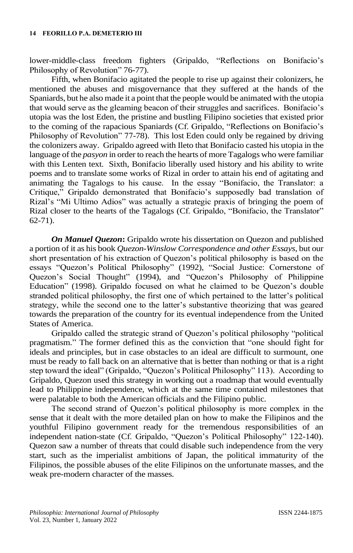lower-middle-class freedom fighters (Gripaldo, "Reflections on Bonifacio's Philosophy of Revolution" 76-77).

Fifth, when Bonifacio agitated the people to rise up against their colonizers, he mentioned the abuses and misgovernance that they suffered at the hands of the Spaniards, but he also made it a point that the people would be animated with the utopia that would serve as the gleaming beacon of their struggles and sacrifices. Bonifacio's utopia was the lost Eden, the pristine and bustling Filipino societies that existed prior to the coming of the rapacious Spaniards (Cf. Gripaldo, "Reflections on Bonifacio's Philosophy of Revolution" 77-78). This lost Eden could only be regained by driving the colonizers away. Gripaldo agreed with Ileto that Bonifacio casted his utopia in the language of the *pasyon* in order to reach the hearts of more Tagalogs who were familiar with this Lenten text. Sixth, Bonifacio liberally used history and his ability to write poems and to translate some works of Rizal in order to attain his end of agitating and animating the Tagalogs to his cause. In the essay "Bonifacio, the Translator: a Critique," Gripaldo demonstrated that Bonifacio's supposedly bad translation of Rizal's "Mi Ultimo Adios" was actually a strategic praxis of bringing the poem of Rizal closer to the hearts of the Tagalogs (Cf. Gripaldo, "Bonifacio, the Translator" 62-71).

*On Manuel Quezon***:** Gripaldo wrote his dissertation on Quezon and published a portion of it as his book *Quezon-Winslow Correspondence and other Essays*, but our short presentation of his extraction of Quezon's political philosophy is based on the essays "Quezon's Political Philosophy" (1992), "Social Justice: Cornerstone of Quezon's Social Thought" (1994), and "Quezon's Philosophy of Philippine Education" (1998). Gripaldo focused on what he claimed to be Quezon's double stranded political philosophy, the first one of which pertained to the latter's political strategy, while the second one to the latter's substantive theorizing that was geared towards the preparation of the country for its eventual independence from the United States of America.

Gripaldo called the strategic strand of Quezon's political philosophy "political pragmatism." The former defined this as the conviction that "one should fight for ideals and principles, but in case obstacles to an ideal are difficult to surmount, one must be ready to fall back on an alternative that is better than nothing or that is a right step toward the ideal" (Gripaldo, "Quezon's Political Philosophy" 113). According to Gripaldo, Quezon used this strategy in working out a roadmap that would eventually lead to Philippine independence, which at the same time contained milestones that were palatable to both the American officials and the Filipino public.

The second strand of Quezon's political philosophy is more complex in the sense that it dealt with the more detailed plan on how to make the Filipinos and the youthful Filipino government ready for the tremendous responsibilities of an independent nation-state (Cf. Gripaldo, "Quezon's Political Philosophy" 122-140). Quezon saw a number of threats that could disable such independence from the very start, such as the imperialist ambitions of Japan, the political immaturity of the Filipinos, the possible abuses of the elite Filipinos on the unfortunate masses, and the weak pre-modern character of the masses.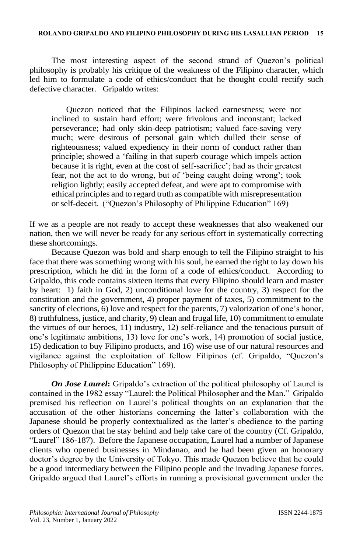The most interesting aspect of the second strand of Quezon's political philosophy is probably his critique of the weakness of the Filipino character, which led him to formulate a code of ethics/conduct that he thought could rectify such defective character. Gripaldo writes:

Quezon noticed that the Filipinos lacked earnestness; were not inclined to sustain hard effort; were frivolous and inconstant; lacked perseverance; had only skin-deep patriotism; valued face-saving very much; were desirous of personal gain which dulled their sense of righteousness; valued expediency in their norm of conduct rather than principle; showed a 'failing in that superb courage which impels action because it is right, even at the cost of self-sacrifice'; had as their greatest fear, not the act to do wrong, but of 'being caught doing wrong'; took religion lightly; easily accepted defeat, and were apt to compromise with ethical principles and to regard truth as compatible with misrepresentation or self-deceit. ("Quezon's Philosophy of Philippine Education" 169)

If we as a people are not ready to accept these weaknesses that also weakened our nation, then we will never be ready for any serious effort in systematically correcting these shortcomings.

Because Quezon was bold and sharp enough to tell the Filipino straight to his face that there was something wrong with his soul, he earned the right to lay down his prescription, which he did in the form of a code of ethics/conduct. According to Gripaldo, this code contains sixteen items that every Filipino should learn and master by heart: 1) faith in God, 2) unconditional love for the country, 3) respect for the constitution and the government, 4) proper payment of taxes, 5) commitment to the sanctity of elections, 6) love and respect for the parents, 7) valorization of one's honor, 8) truthfulness, justice, and charity, 9) clean and frugal life, 10) commitment to emulate the virtues of our heroes, 11) industry, 12) self-reliance and the tenacious pursuit of one's legitimate ambitions, 13) love for one's work, 14) promotion of social justice, 15) dedication to buy Filipino products, and 16) wise use of our natural resources and vigilance against the exploitation of fellow Filipinos (cf. Gripaldo, "Quezon's Philosophy of Philippine Education" 169).

*On Jose Laurel***:** Gripaldo's extraction of the political philosophy of Laurel is contained in the 1982 essay "Laurel: the Political Philosopher and the Man." Gripaldo premised his reflection on Laurel's political thoughts on an explanation that the accusation of the other historians concerning the latter's collaboration with the Japanese should be properly contextualized as the latter's obedience to the parting orders of Quezon that he stay behind and help take care of the country (Cf. Gripaldo, "Laurel" 186-187). Before the Japanese occupation, Laurel had a number of Japanese clients who opened businesses in Mindanao, and he had been given an honorary doctor's degree by the University of Tokyo. This made Quezon believe that he could be a good intermediary between the Filipino people and the invading Japanese forces. Gripaldo argued that Laurel's efforts in running a provisional government under the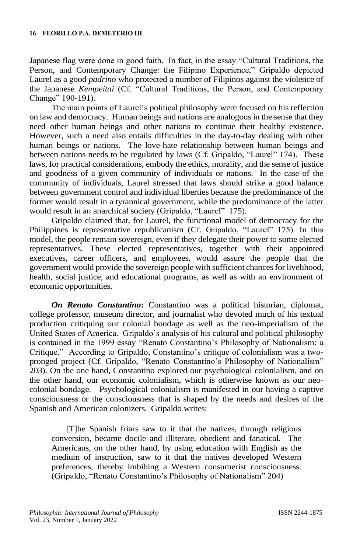Japanese flag were done in good faith. In fact, in the essay "Cultural Traditions, the Person, and Contemporary Change: the Filipino Experience," Gripaldo depicted Laurel as a good *padrino* who protected a number of Filipinos against the violence of the Japanese *Kempeitai* (Cf. "Cultural Traditions, the Person, and Contemporary Change" 190-191).

The main points of Laurel's political philosophy were focused on his reflection on law and democracy. Human beings and nations are analogous in the sense that they need other human beings and other nations to continue their healthy existence. However, such a need also entails difficulties in the day-to-day dealing with other human beings or nations. The love-hate relationship between human beings and between nations needs to be regulated by laws (Cf. Gripaldo, "Laurel" 174). These laws, for practical considerations, embody the ethics, morality, and the sense of justice and goodness of a given community of individuals or nations. In the case of the community of individuals, Laurel stressed that laws should strike a good balance between government control and individual liberties because the predominance of the former would result in a tyrannical government, while the predominance of the latter would result in an anarchical society (Gripaldo, "Laurel" 175).

Gripaldo claimed that, for Laurel, the functional model of democracy for the Philippines is representative republicanism (Cf. Gripaldo, "Laurel" 175). In this model, the people remain sovereign, even if they delegate their power to some elected representatives. These elected representatives, together with their appointed executives, career officers, and employees, would assure the people that the government would provide the sovereign people with sufficient chances for livelihood, health, social justice, and educational programs, as well as with an environment of economic opportunities.

*On Renato Constantino***:** Constantino was a political historian, diplomat, college professor, museum director, and journalist who devoted much of his textual production critiquing our colonial bondage as well as the neo-imperialism of the United States of America. Gripaldo's analysis of his cultural and political philosophy is contained in the 1999 essay "Renato Constantino's Philosophy of Nationalism: a Critique." According to Gripaldo, Constantino's critique of colonialism was a twopronged project (Cf. Gripaldo, "Renato Constantino's Philosophy of Nationalism" 203). On the one hand, Constantino explored our psychological colonialism, and on the other hand, our economic colonialism, which is otherwise known as our neocolonial bondage. Psychological colonialism is manifested in our having a captive consciousness or the consciousness that is shaped by the needs and desires of the Spanish and American colonizers. Gripaldo writes:

[T]he Spanish friars saw to it that the natives, through religious conversion, became docile and illiterate, obedient and fanatical. The Americans, on the other hand, by using education with English as the medium of instruction, saw to it that the natives developed Western preferences, thereby imbibing a Western consumerist consciousness. (Gripaldo, "Renato Constantino's Philosophy of Nationalism" 204)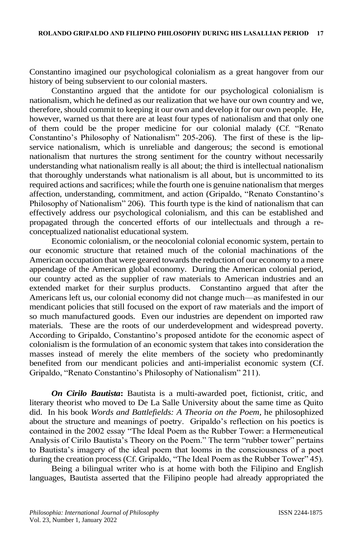Constantino imagined our psychological colonialism as a great hangover from our history of being subservient to our colonial masters.

Constantino argued that the antidote for our psychological colonialism is nationalism, which he defined as our realization that we have our own country and we, therefore, should commit to keeping it our own and develop it for our own people. He, however, warned us that there are at least four types of nationalism and that only one of them could be the proper medicine for our colonial malady (Cf. "Renato Constantino's Philosophy of Nationalism" 205-206). The first of these is the lipservice nationalism, which is unreliable and dangerous; the second is emotional nationalism that nurtures the strong sentiment for the country without necessarily understanding what nationalism really is all about; the third is intellectual nationalism that thoroughly understands what nationalism is all about, but is uncommitted to its required actions and sacrifices; while the fourth one is genuine nationalism that merges affection, understanding, commitment, and action (Gripaldo, "Renato Constantino's Philosophy of Nationalism" 206). This fourth type is the kind of nationalism that can effectively address our psychological colonialism, and this can be established and propagated through the concerted efforts of our intellectuals and through a reconceptualized nationalist educational system.

Economic colonialism, or the neocolonial colonial economic system, pertain to our economic structure that retained much of the colonial machinations of the American occupation that were geared towards the reduction of our economy to a mere appendage of the American global economy. During the American colonial period, our country acted as the supplier of raw materials to American industries and an extended market for their surplus products. Constantino argued that after the Americans left us, our colonial economy did not change much—as manifested in our mendicant policies that still focused on the export of raw materials and the import of so much manufactured goods. Even our industries are dependent on imported raw materials. These are the roots of our underdevelopment and widespread poverty. According to Gripaldo, Constantino's proposed antidote for the economic aspect of colonialism is the formulation of an economic system that takes into consideration the masses instead of merely the elite members of the society who predominantly benefited from our mendicant policies and anti-imperialist economic system (Cf. Gripaldo, "Renato Constantino's Philosophy of Nationalism" 211).

*On Cirilo Bautista***:** Bautista is a multi-awarded poet, fictionist, critic, and literary theorist who moved to De La Salle University about the same time as Quito did. In his book *Words and Battlefields: A Theoria on the Poem*, he philosophized about the structure and meanings of poetry. Gripaldo's reflection on his poetics is contained in the 2002 essay "The Ideal Poem as the Rubber Tower: a Hermeneutical Analysis of Cirilo Bautista's Theory on the Poem." The term "rubber tower" pertains to Bautista's imagery of the ideal poem that looms in the consciousness of a poet during the creation process (Cf. Gripaldo, "The Ideal Poem as the Rubber Tower" 45).

Being a bilingual writer who is at home with both the Filipino and English languages, Bautista asserted that the Filipino people had already appropriated the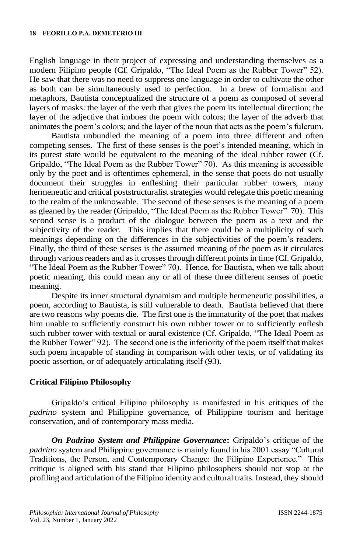English language in their project of expressing and understanding themselves as a modern Filipino people (Cf. Gripaldo, "The Ideal Poem as the Rubber Tower" 52). He saw that there was no need to suppress one language in order to cultivate the other as both can be simultaneously used to perfection. In a brew of formalism and metaphors, Bautista conceptualized the structure of a poem as composed of several layers of masks: the layer of the verb that gives the poem its intellectual direction; the layer of the adjective that imbues the poem with colors; the layer of the adverb that animates the poem's colors; and the layer of the noun that acts as the poem's fulcrum.

Bautista unbundled the meaning of a poem into three different and often competing senses. The first of these senses is the poet's intended meaning, which in its purest state would be equivalent to the meaning of the ideal rubber tower (Cf. Gripaldo, "The Ideal Poem as the Rubber Tower" 70). As this meaning is accessible only by the poet and is oftentimes ephemeral, in the sense that poets do not usually document their struggles in enfleshing their particular rubber towers, many hermeneutic and critical poststructuralist strategies would relegate this poetic meaning to the realm of the unknowable. The second of these senses is the meaning of a poem as gleaned by the reader (Gripaldo, "The Ideal Poem as the Rubber Tower" 70). This second sense is a product of the dialogue between the poem as a text and the subjectivity of the reader. This implies that there could be a multiplicity of such meanings depending on the differences in the subjectivities of the poem's readers. Finally, the third of these senses is the assumed meaning of the poem as it circulates through various readers and as it crosses through different points in time (Cf. Gripaldo, "The Ideal Poem as the Rubber Tower" 70). Hence, for Bautista, when we talk about poetic meaning, this could mean any or all of these three different senses of poetic meaning.

Despite its inner structural dynamism and multiple hermeneutic possibilities, a poem, according to Bautista, is still vulnerable to death. Bautista believed that there are two reasons why poems die. The first one is the immaturity of the poet that makes him unable to sufficiently construct his own rubber tower or to sufficiently enflesh such rubber tower with textual or aural existence (Cf. Gripaldo, "The Ideal Poem as the Rubber Tower" 92). The second one is the inferiority of the poem itself that makes such poem incapable of standing in comparison with other texts, or of validating its poetic assertion, or of adequately articulating itself (93).

### **Critical Filipino Philosophy**

Gripaldo's critical Filipino philosophy is manifested in his critiques of the *padrino* system and Philippine governance, of Philippine tourism and heritage conservation, and of contemporary mass media.

*On Padrino System and Philippine Governance***:** Gripaldo's critique of the *padrino* system and Philippine governance is mainly found in his 2001 essay "Cultural Traditions, the Person, and Contemporary Change: the Filipino Experience." This critique is aligned with his stand that Filipino philosophers should not stop at the profiling and articulation of the Filipino identity and cultural traits. Instead, they should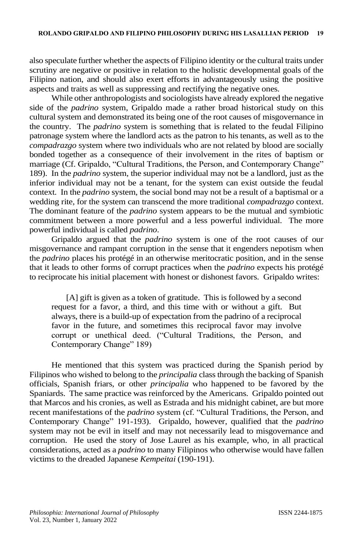also speculate further whether the aspects of Filipino identity or the cultural traits under scrutiny are negative or positive in relation to the holistic developmental goals of the Filipino nation, and should also exert efforts in advantageously using the positive aspects and traits as well as suppressing and rectifying the negative ones.

While other anthropologists and sociologists have already explored the negative side of the *padrino* system, Gripaldo made a rather broad historical study on this cultural system and demonstrated its being one of the root causes of misgovernance in the country. The *padrino* system is something that is related to the feudal Filipino patronage system where the landlord acts as the patron to his tenants, as well as to the *compadrazgo* system where two individuals who are not related by blood are socially bonded together as a consequence of their involvement in the rites of baptism or marriage (Cf. Gripaldo, "Cultural Traditions, the Person, and Contemporary Change" 189). In the *padrino* system, the superior individual may not be a landlord, just as the inferior individual may not be a tenant, for the system can exist outside the feudal context. In the *padrino* system, the social bond may not be a result of a baptismal or a wedding rite, for the system can transcend the more traditional *compadrazgo* context. The dominant feature of the *padrino* system appears to be the mutual and symbiotic commitment between a more powerful and a less powerful individual. The more powerful individual is called *padrino*.

Gripaldo argued that the *padrino* system is one of the root causes of our misgovernance and rampant corruption in the sense that it engenders nepotism when the *padrino* places his protégé in an otherwise meritocratic position, and in the sense that it leads to other forms of corrupt practices when the *padrino* expects his protégé to reciprocate his initial placement with honest or dishonest favors. Gripaldo writes:

[A] gift is given as a token of gratitude. This is followed by a second request for a favor, a third, and this time with or without a gift. But always, there is a build-up of expectation from the padrino of a reciprocal favor in the future, and sometimes this reciprocal favor may involve corrupt or unethical deed. ("Cultural Traditions, the Person, and Contemporary Change" 189)

He mentioned that this system was practiced during the Spanish period by Filipinos who wished to belong to the *principalia* class through the backing of Spanish officials, Spanish friars, or other *principalia* who happened to be favored by the Spaniards. The same practice was reinforced by the Americans. Gripaldo pointed out that Marcos and his cronies, as well as Estrada and his midnight cabinet, are but more recent manifestations of the *padrino* system (cf. "Cultural Traditions, the Person, and Contemporary Change" 191-193). Gripaldo, however, qualified that the *padrino* system may not be evil in itself and may not necessarily lead to misgovernance and corruption. He used the story of Jose Laurel as his example, who, in all practical considerations, acted as a *padrino* to many Filipinos who otherwise would have fallen victims to the dreaded Japanese *Kempeitai* (190-191).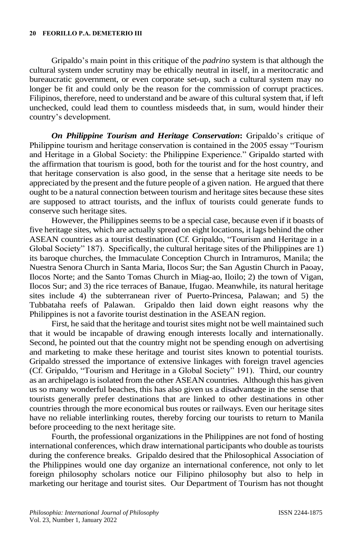Gripaldo's main point in this critique of the *padrino* system is that although the cultural system under scrutiny may be ethically neutral in itself, in a meritocratic and bureaucratic government, or even corporate set-up, such a cultural system may no longer be fit and could only be the reason for the commission of corrupt practices. Filipinos, therefore, need to understand and be aware of this cultural system that, if left unchecked, could lead them to countless misdeeds that, in sum, would hinder their country's development.

*On Philippine Tourism and Heritage Conservation***:** Gripaldo's critique of Philippine tourism and heritage conservation is contained in the 2005 essay "Tourism and Heritage in a Global Society: the Philippine Experience." Gripaldo started with the affirmation that tourism is good, both for the tourist and for the host country, and that heritage conservation is also good, in the sense that a heritage site needs to be appreciated by the present and the future people of a given nation. He argued that there ought to be a natural connection between tourism and heritage sites because these sites are supposed to attract tourists, and the influx of tourists could generate funds to conserve such heritage sites.

However, the Philippines seems to be a special case, because even if it boasts of five heritage sites, which are actually spread on eight locations, it lags behind the other ASEAN countries as a tourist destination (Cf. Gripaldo, "Tourism and Heritage in a Global Society" 187). Specifically, the cultural heritage sites of the Philippines are 1) its baroque churches, the Immaculate Conception Church in Intramuros, Manila; the Nuestra Senora Church in Santa Maria, Ilocos Sur; the San Agustin Church in Paoay, Ilocos Norte; and the Santo Tomas Church in Miag-ao, Iloilo; 2) the town of Vigan, Ilocos Sur; and 3) the rice terraces of Banaue, Ifugao. Meanwhile, its natural heritage sites include 4) the subterranean river of Puerto-Princesa, Palawan; and 5) the Tubbataha reefs of Palawan. Gripaldo then laid down eight reasons why the Philippines is not a favorite tourist destination in the ASEAN region.

First, he said that the heritage and tourist sites might not be well maintained such that it would be incapable of drawing enough interests locally and internationally. Second, he pointed out that the country might not be spending enough on advertising and marketing to make these heritage and tourist sites known to potential tourists. Gripaldo stressed the importance of extensive linkages with foreign travel agencies (Cf. Gripaldo, "Tourism and Heritage in a Global Society" 191). Third, our country as an archipelago is isolated from the other ASEAN countries. Although this has given us so many wonderful beaches, this has also given us a disadvantage in the sense that tourists generally prefer destinations that are linked to other destinations in other countries through the more economical bus routes or railways. Even our heritage sites have no reliable interlinking routes, thereby forcing our tourists to return to Manila before proceeding to the next heritage site.

Fourth, the professional organizations in the Philippines are not fond of hosting international conferences, which draw international participants who double as tourists during the conference breaks. Gripaldo desired that the Philosophical Association of the Philippines would one day organize an international conference, not only to let foreign philosophy scholars notice our Filipino philosophy but also to help in marketing our heritage and tourist sites. Our Department of Tourism has not thought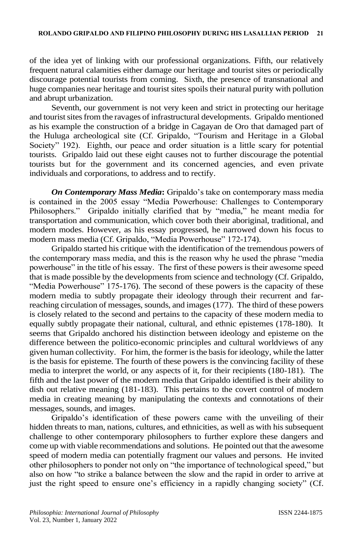of the idea yet of linking with our professional organizations. Fifth, our relatively frequent natural calamities either damage our heritage and tourist sites or periodically discourage potential tourists from coming. Sixth, the presence of transnational and huge companies near heritage and tourist sites spoils their natural purity with pollution and abrupt urbanization.

Seventh, our government is not very keen and strict in protecting our heritage and tourist sites from the ravages of infrastructural developments. Gripaldo mentioned as his example the construction of a bridge in Cagayan de Oro that damaged part of the Huluga archeological site (Cf. Gripaldo, "Tourism and Heritage in a Global Society" 192). Eighth, our peace and order situation is a little scary for potential tourists. Gripaldo laid out these eight causes not to further discourage the potential tourists but for the government and its concerned agencies, and even private individuals and corporations, to address and to rectify.

*On Contemporary Mass Media***:** Gripaldo's take on contemporary mass media is contained in the 2005 essay "Media Powerhouse: Challenges to Contemporary Philosophers." Gripaldo initially clarified that by "media," he meant media for transportation and communication, which cover both their aboriginal, traditional, and modern modes. However, as his essay progressed, he narrowed down his focus to modern mass media (Cf. Gripaldo, "Media Powerhouse" 172-174).

Gripaldo started his critique with the identification of the tremendous powers of the contemporary mass media, and this is the reason why he used the phrase "media powerhouse" in the title of his essay. The first of these powers is their awesome speed that is made possible by the developments from science and technology (Cf. Gripaldo, "Media Powerhouse" 175-176). The second of these powers is the capacity of these modern media to subtly propagate their ideology through their recurrent and farreaching circulation of messages, sounds, and images (177). The third of these powers is closely related to the second and pertains to the capacity of these modern media to equally subtly propagate their national, cultural, and ethnic epistemes (178-180). It seems that Gripaldo anchored his distinction between ideology and episteme on the difference between the politico-economic principles and cultural worldviews of any given human collectivity. For him, the former isthe basis for ideology, while the latter is the basis for episteme. The fourth of these powers is the convincing facility of these media to interpret the world, or any aspects of it, for their recipients (180-181). The fifth and the last power of the modern media that Gripaldo identified is their ability to dish out relative meaning (181-183). This pertains to the covert control of modern media in creating meaning by manipulating the contexts and connotations of their messages, sounds, and images.

Gripaldo's identification of these powers came with the unveiling of their hidden threats to man, nations, cultures, and ethnicities, as well as with his subsequent challenge to other contemporary philosophers to further explore these dangers and come up with viable recommendations and solutions. He pointed out that the awesome speed of modern media can potentially fragment our values and persons. He invited other philosophers to ponder not only on "the importance of technological speed," but also on how "to strike a balance between the slow and the rapid in order to arrive at just the right speed to ensure one's efficiency in a rapidly changing society" (Cf.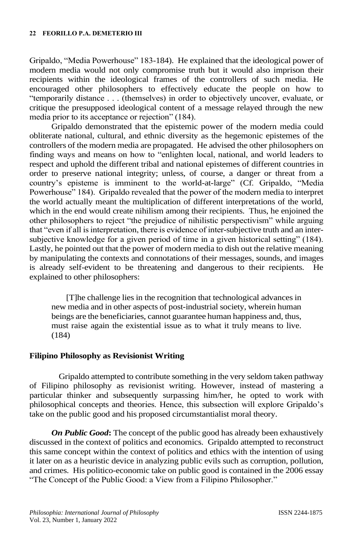Gripaldo, "Media Powerhouse" 183-184). He explained that the ideological power of modern media would not only compromise truth but it would also imprison their recipients within the ideological frames of the controllers of such media. He encouraged other philosophers to effectively educate the people on how to "temporarily distance . . . (themselves) in order to objectively uncover, evaluate, or critique the presupposed ideological content of a message relayed through the new media prior to its acceptance or rejection" (184).

Gripaldo demonstrated that the epistemic power of the modern media could obliterate national, cultural, and ethnic diversity as the hegemonic epistemes of the controllers of the modern media are propagated. He advised the other philosophers on finding ways and means on how to "enlighten local, national, and world leaders to respect and uphold the different tribal and national epistemes of different countries in order to preserve national integrity; unless, of course, a danger or threat from a country's episteme is imminent to the world-at-large" (Cf. Gripaldo, "Media Powerhouse" 184). Gripaldo revealed that the power of the modern media to interpret the world actually meant the multiplication of different interpretations of the world, which in the end would create nihilism among their recipients. Thus, he enjoined the other philosophers to reject "the prejudice of nihilistic perspectivism" while arguing that "even if all is interpretation, there is evidence of inter-subjective truth and an intersubjective knowledge for a given period of time in a given historical setting" (184). Lastly, he pointed out that the power of modern media to dish out the relative meaning by manipulating the contexts and connotations of their messages, sounds, and images is already self-evident to be threatening and dangerous to their recipients. He explained to other philosophers:

[T]he challenge lies in the recognition that technological advances in new media and in other aspects of post-industrial society, wherein human beings are the beneficiaries, cannot guarantee human happiness and, thus, must raise again the existential issue as to what it truly means to live. (184)

#### **Filipino Philosophy as Revisionist Writing**

Gripaldo attempted to contribute something in the very seldom taken pathway of Filipino philosophy as revisionist writing. However, instead of mastering a particular thinker and subsequently surpassing him/her, he opted to work with philosophical concepts and theories. Hence, this subsection will explore Gripaldo's take on the public good and his proposed circumstantialist moral theory.

*On Public Good***:** The concept of the public good has already been exhaustively discussed in the context of politics and economics. Gripaldo attempted to reconstruct this same concept within the context of politics and ethics with the intention of using it later on as a heuristic device in analyzing public evils such as corruption, pollution, and crimes. His politico-economic take on public good is contained in the 2006 essay "The Concept of the Public Good: a View from a Filipino Philosopher."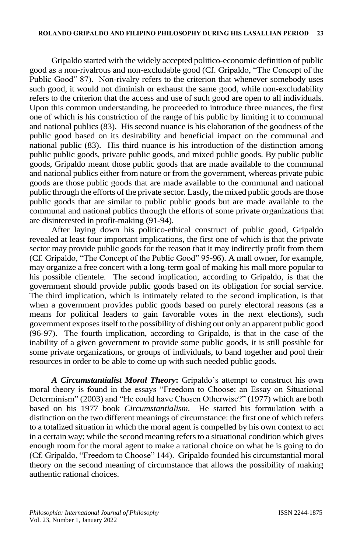Gripaldo started with the widely accepted politico-economic definition of public good as a non-rivalrous and non-excludable good (Cf. Gripaldo, "The Concept of the Public Good" 87). Non-rivalry refers to the criterion that whenever somebody uses such good, it would not diminish or exhaust the same good, while non-excludability refers to the criterion that the access and use of such good are open to all individuals. Upon this common understanding, he proceeded to introduce three nuances, the first one of which is his constriction of the range of his public by limiting it to communal and national publics (83). His second nuance is his elaboration of the goodness of the public good based on its desirability and beneficial impact on the communal and national public (83). His third nuance is his introduction of the distinction among public public goods, private public goods, and mixed public goods. By public public goods, Gripaldo meant those public goods that are made available to the communal and national publics either from nature or from the government, whereas private pubic goods are those public goods that are made available to the communal and national public through the efforts of the private sector. Lastly, the mixed public goods are those public goods that are similar to public public goods but are made available to the communal and national publics through the efforts of some private organizations that are disinterested in profit-making (91-94).

After laying down his politico-ethical construct of public good, Gripaldo revealed at least four important implications, the first one of which is that the private sector may provide public goods for the reason that it may indirectly profit from them (Cf. Gripaldo, "The Concept of the Public Good" 95-96). A mall owner, for example, may organize a free concert with a long-term goal of making his mall more popular to his possible clientele. The second implication, according to Gripaldo, is that the government should provide public goods based on its obligation for social service. The third implication, which is intimately related to the second implication, is that when a government provides public goods based on purely electoral reasons (as a means for political leaders to gain favorable votes in the next elections), such government exposes itself to the possibility of dishing out only an apparent public good (96-97). The fourth implication, according to Gripaldo, is that in the case of the inability of a given government to provide some public goods, it is still possible for some private organizations, or groups of individuals, to band together and pool their resources in order to be able to come up with such needed public goods.

*A Circumstantialist Moral Theory***:** Gripaldo's attempt to construct his own moral theory is found in the essays "Freedom to Choose: an Essay on Situational Determinism" (2003) and "He could have Chosen Otherwise?" (1977) which are both based on his 1977 book *Circumstantialism*. He started his formulation with a distinction on the two different meanings of circumstance: the first one of which refers to a totalized situation in which the moral agent is compelled by his own context to act in a certain way; while the second meaning refers to a situational condition which gives enough room for the moral agent to make a rational choice on what he is going to do (Cf. Gripaldo, "Freedom to Choose" 144). Gripaldo founded his circumstantial moral theory on the second meaning of circumstance that allows the possibility of making authentic rational choices.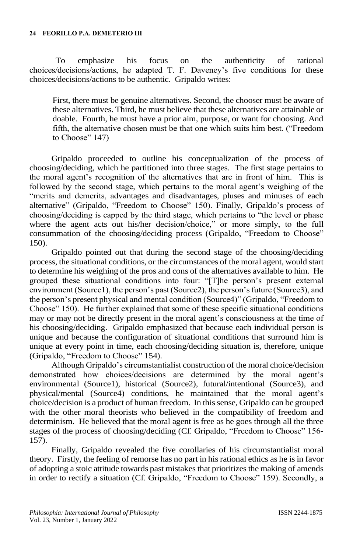To emphasize his focus on the authenticity of rational choices/decisions/actions, he adapted T. F. Daveney's five conditions for these choices/decisions/actions to be authentic. Gripaldo writes:

First, there must be genuine alternatives. Second, the chooser must be aware of these alternatives. Third, he must believe that these alternatives are attainable or doable. Fourth, he must have a prior aim, purpose, or want for choosing. And fifth, the alternative chosen must be that one which suits him best. ("Freedom to Choose" 147)

Gripaldo proceeded to outline his conceptualization of the process of choosing/deciding, which he partitioned into three stages. The first stage pertains to the moral agent's recognition of the alternatives that are in front of him. This is followed by the second stage, which pertains to the moral agent's weighing of the "merits and demerits, advantages and disadvantages, pluses and minuses of each alternative" (Gripaldo, "Freedom to Choose" 150). Finally, Gripaldo's process of choosing/deciding is capped by the third stage, which pertains to "the level or phase where the agent acts out his/her decision/choice," or more simply, to the full consummation of the choosing/deciding process (Gripaldo, "Freedom to Choose" 150).

Gripaldo pointed out that during the second stage of the choosing/deciding process, the situational conditions, or the circumstances of the moral agent, would start to determine his weighing of the pros and cons of the alternatives available to him. He grouped these situational conditions into four: "[T]he person's present external environment (Source1), the person's past (Source2), the person's future (Source3), and the person's present physical and mental condition (Source4)" (Gripaldo, "Freedom to Choose" 150). He further explained that some of these specific situational conditions may or may not be directly present in the moral agent's consciousness at the time of his choosing/deciding. Gripaldo emphasized that because each individual person is unique and because the configuration of situational conditions that surround him is unique at every point in time, each choosing/deciding situation is, therefore, unique (Gripaldo, "Freedom to Choose" 154).

Although Gripaldo's circumstantialist construction of the moral choice/decision demonstrated how choices/decisions are determined by the moral agent's environmental (Source1), historical (Source2), futural/intentional (Source3), and physical/mental (Source4) conditions, he maintained that the moral agent's choice/decision is a product of human freedom. In this sense, Gripaldo can be grouped with the other moral theorists who believed in the compatibility of freedom and determinism. He believed that the moral agent is free as he goes through all the three stages of the process of choosing/deciding (Cf. Gripaldo, "Freedom to Choose" 156- 157).

Finally, Gripaldo revealed the five corollaries of his circumstantialist moral theory. Firstly, the feeling of remorse has no part in his rational ethics as he is in favor of adopting a stoic attitude towards past mistakes that prioritizes the making of amends in order to rectify a situation (Cf. Gripaldo, "Freedom to Choose" 159). Secondly, a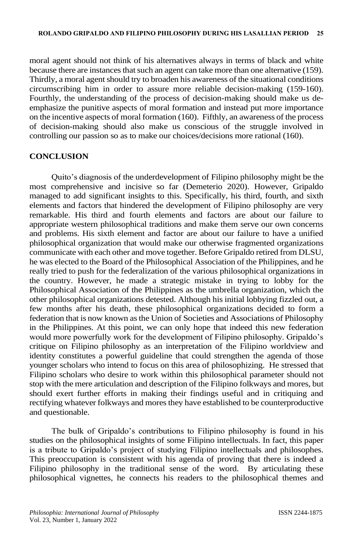moral agent should not think of his alternatives always in terms of black and white because there are instances that such an agent can take more than one alternative (159). Thirdly, a moral agent should try to broaden his awareness of the situational conditions circumscribing him in order to assure more reliable decision-making (159-160). Fourthly, the understanding of the process of decision-making should make us deemphasize the punitive aspects of moral formation and instead put more importance on the incentive aspects of moral formation (160). Fifthly, an awareness of the process of decision-making should also make us conscious of the struggle involved in controlling our passion so as to make our choices/decisions more rational (160).

### **CONCLUSION**

Quito's diagnosis of the underdevelopment of Filipino philosophy might be the most comprehensive and incisive so far (Demeterio 2020). However, Gripaldo managed to add significant insights to this. Specifically, his third, fourth, and sixth elements and factors that hindered the development of Filipino philosophy are very remarkable. His third and fourth elements and factors are about our failure to appropriate western philosophical traditions and make them serve our own concerns and problems. His sixth element and factor are about our failure to have a unified philosophical organization that would make our otherwise fragmented organizations communicate with each other and move together. Before Gripaldo retired from DLSU, he was elected to the Board of the Philosophical Association of the Philippines, and he really tried to push for the federalization of the various philosophical organizations in the country. However, he made a strategic mistake in trying to lobby for the Philosophical Association of the Philippines as the umbrella organization, which the other philosophical organizations detested. Although his initial lobbying fizzled out, a few months after his death, these philosophical organizations decided to form a federation that is now known as the Union of Societies and Associations of Philosophy in the Philippines. At this point, we can only hope that indeed this new federation would more powerfully work for the development of Filipino philosophy. Gripaldo's critique on Filipino philosophy as an interpretation of the Filipino worldview and identity constitutes a powerful guideline that could strengthen the agenda of those younger scholars who intend to focus on this area of philosophizing. He stressed that Filipino scholars who desire to work within this philosophical parameter should not stop with the mere articulation and description of the Filipino folkways and mores, but should exert further efforts in making their findings useful and in critiquing and rectifying whatever folkways and mores they have established to be counterproductive and questionable.

The bulk of Gripaldo's contributions to Filipino philosophy is found in his studies on the philosophical insights of some Filipino intellectuals. In fact, this paper is a tribute to Gripaldo's project of studying Filipino intellectuals and philosophes. This preoccupation is consistent with his agenda of proving that there is indeed a Filipino philosophy in the traditional sense of the word. By articulating these philosophical vignettes, he connects his readers to the philosophical themes and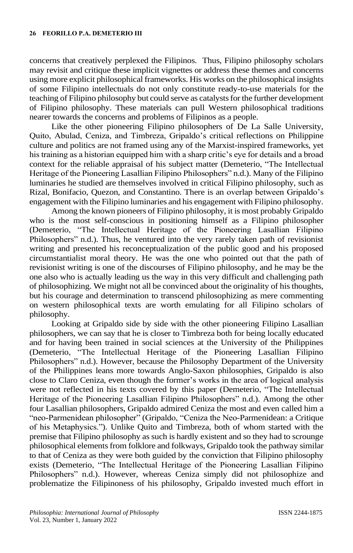concerns that creatively perplexed the Filipinos. Thus, Filipino philosophy scholars may revisit and critique these implicit vignettes or address these themes and concerns using more explicit philosophical frameworks. His works on the philosophical insights of some Filipino intellectuals do not only constitute ready-to-use materials for the teaching of Filipino philosophy but could serve as catalysts for the further development of Filipino philosophy. These materials can pull Western philosophical traditions nearer towards the concerns and problems of Filipinos as a people.

Like the other pioneering Filipino philosophers of De La Salle University, Quito, Abulad, Ceniza, and Timbreza, Gripaldo's critical reflections on Philippine culture and politics are not framed using any of the Marxist-inspired frameworks, yet his training as a historian equipped him with a sharp critic's eye for details and a broad context for the reliable appraisal of his subject matter (Demeterio, "The Intellectual Heritage of the Pioneering Lasallian Filipino Philosophers" n.d.). Many of the Filipino luminaries he studied are themselves involved in critical Filipino philosophy, such as Rizal, Bonifacio, Quezon, and Constantino. There is an overlap between Gripaldo's engagement with the Filipino luminaries and his engagement with Filipino philosophy.

Among the known pioneers of Filipino philosophy, it is most probably Gripaldo who is the most self-conscious in positioning himself as a Filipino philosopher (Demeterio, "The Intellectual Heritage of the Pioneering Lasallian Filipino Philosophers" n.d.). Thus, he ventured into the very rarely taken path of revisionist writing and presented his reconceptualization of the public good and his proposed circumstantialist moral theory. He was the one who pointed out that the path of revisionist writing is one of the discourses of Filipino philosophy, and he may be the one also who is actually leading us the way in this very difficult and challenging path of philosophizing. We might not all be convinced about the originality of his thoughts, but his courage and determination to transcend philosophizing as mere commenting on western philosophical texts are worth emulating for all Filipino scholars of philosophy.

Looking at Gripaldo side by side with the other pioneering Filipino Lasallian philosophers, we can say that he is closer to Timbreza both for being locally educated and for having been trained in social sciences at the University of the Philippines (Demeterio, "The Intellectual Heritage of the Pioneering Lasallian Filipino Philosophers" n.d.). However, because the Philosophy Department of the University of the Philippines leans more towards Anglo-Saxon philosophies, Gripaldo is also close to Claro Ceniza, even though the former's works in the area of logical analysis were not reflected in his texts covered by this paper (Demeterio, "The Intellectual Heritage of the Pioneering Lasallian Filipino Philosophers" n.d.). Among the other four Lasallian philosophers, Gripaldo admired Ceniza the most and even called him a "neo-Parmenidean philosopher" (Gripaldo, "Ceniza the Neo-Parmenidean: a Critique of his Metaphysics."). Unlike Quito and Timbreza, both of whom started with the premise that Filipino philosophy as such is hardly existent and so they had to scrounge philosophical elements from folklore and folkways, Gripaldo took the pathway similar to that of Ceniza as they were both guided by the conviction that Filipino philosophy exists (Demeterio, "The Intellectual Heritage of the Pioneering Lasallian Filipino Philosophers" n.d.). However, whereas Ceniza simply did not philosophize and problematize the Filipinoness of his philosophy, Gripaldo invested much effort in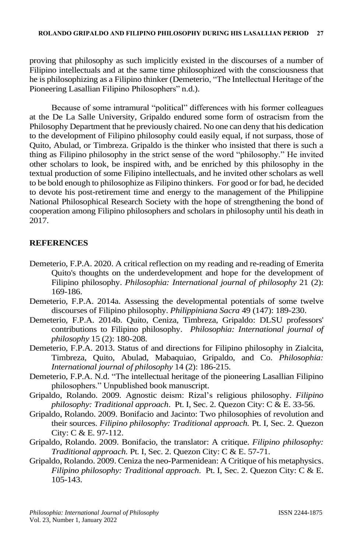proving that philosophy as such implicitly existed in the discourses of a number of Filipino intellectuals and at the same time philosophized with the consciousness that he is philosophizing as a Filipino thinker (Demeterio, "The Intellectual Heritage of the Pioneering Lasallian Filipino Philosophers" n.d.).

Because of some intramural "political" differences with his former colleagues at the De La Salle University, Gripaldo endured some form of ostracism from the Philosophy Department that he previously chaired. No one can deny that his dedication to the development of Filipino philosophy could easily equal, if not surpass, those of Quito, Abulad, or Timbreza. Gripaldo is the thinker who insisted that there is such a thing as Filipino philosophy in the strict sense of the word "philosophy." He invited other scholars to look, be inspired with, and be enriched by this philosophy in the textual production of some Filipino intellectuals, and he invited other scholars as well to be bold enough to philosophize as Filipino thinkers. For good or for bad, he decided to devote his post-retirement time and energy to the management of the Philippine National Philosophical Research Society with the hope of strengthening the bond of cooperation among Filipino philosophers and scholars in philosophy until his death in 2017.

### **REFERENCES**

- Demeterio, F.P.A. 2020. A critical reflection on my reading and re-reading of Emerita Quito's thoughts on the underdevelopment and hope for the development of Filipino philosophy. *Philosophia: International journal of philosophy* 21 (2): 169-186.
- Demeterio, F.P.A. 2014a. Assessing the developmental potentials of some twelve discourses of Filipino philosophy. *Philippiniana Sacra* 49 (147): 189-230.
- Demeterio, F.P.A. 2014b. Quito, Ceniza, Timbreza, Gripaldo: DLSU professors' contributions to Filipino philosophy. *Philosophia: International journal of philosophy* 15 (2): 180-208.
- Demeterio, F.P.A. 2013. Status of and directions for Filipino philosophy in Zialcita, Timbreza, Quito, Abulad, Mabaquiao, Gripaldo, and Co. *Philosophia: International journal of philosophy* 14 (2): 186-215.
- Demeterio, F.P.A. N.d. "The intellectual heritage of the pioneering Lasallian Filipino philosophers." Unpublished book manuscript.
- Gripaldo, Rolando. 2009. Agnostic deism: Rizal's religious philosophy. *Filipino philosophy: Traditional approach*. Pt. I, Sec. 2. Quezon City: C & E. 33-56.
- Gripaldo, Rolando. 2009. Bonifacio and Jacinto: Two philosophies of revolution and their sources. *Filipino philosophy: Traditional approach.* Pt. I, Sec. 2. Quezon City: C & E. 97-112.
- Gripaldo, Rolando. 2009. Bonifacio, the translator: A critique. *Filipino philosophy: Traditional approach.* Pt. I, Sec. 2. Quezon City: C & E. 57-71.
- Gripaldo, Rolando. 2009. Ceniza the neo-Parmenidean: A Critique of his metaphysics. *Filipino philosophy: Traditional approach*. Pt. I, Sec. 2. Quezon City: C & E. 105-143.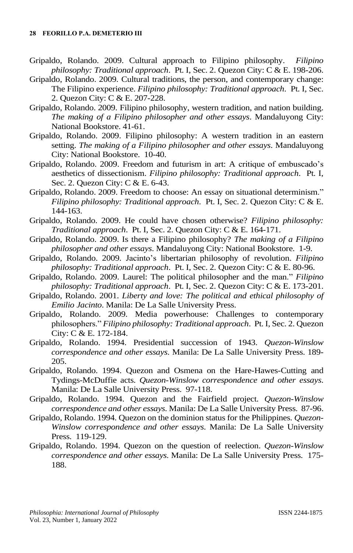- Gripaldo, Rolando. 2009. Cultural approach to Filipino philosophy. *Filipino philosophy: Traditional approach*. Pt. I, Sec. 2. Quezon City: C & E. 198-206.
- Gripaldo, Rolando. 2009. Cultural traditions, the person, and contemporary change: The Filipino experience. *Filipino philosophy: Traditional approach*. Pt. I, Sec. 2. Quezon City: C & E. 207-228.
- Gripaldo, Rolando. 2009. Filipino philosophy, western tradition, and nation building. *The making of a Filipino philosopher and other essays*. Mandaluyong City: National Bookstore. 41-61.
- Gripaldo, Rolando. 2009. Filipino philosophy: A western tradition in an eastern setting. *The making of a Filipino philosopher and other essays*. Mandaluyong City: National Bookstore. 10-40.
- Gripaldo, Rolando. 2009. Freedom and futurism in art: A critique of embuscado's aesthetics of dissectionism. *Filipino philosophy: Traditional approach*. Pt. I, Sec. 2. Quezon City: C & E. 6-43.
- Gripaldo, Rolando. 2009. Freedom to choose: An essay on situational determinism." *Filipino philosophy: Traditional approach*. Pt. I, Sec. 2. Quezon City: C & E. 144-163.
- Gripaldo, Rolando. 2009. He could have chosen otherwise? *Filipino philosophy: Traditional approach*. Pt. I, Sec. 2. Quezon City: C & E. 164-171.
- Gripaldo, Rolando. 2009. Is there a Filipino philosophy? *The making of a Filipino philosopher and other essays*. Mandaluyong City: National Bookstore. 1-9.
- Gripaldo, Rolando. 2009. Jacinto's libertarian philosophy of revolution. *Filipino philosophy: Traditional approach*. Pt. I, Sec. 2. Quezon City: C & E. 80-96.
- Gripaldo, Rolando. 2009. Laurel: The political philosopher and the man." *Filipino philosophy: Traditional approach*. Pt. I, Sec. 2. Quezon City: C & E. 173-201.
- Gripaldo, Rolando. 2001. *Liberty and love: The political and ethical philosophy of Emilio Jacinto*. Manila: De La Salle University Press.
- Gripaldo, Rolando. 2009. Media powerhouse: Challenges to contemporary philosophers." *Filipino philosophy: Traditional approach*. Pt. I, Sec. 2. Quezon City: C & E. 172-184.
- Gripaldo, Rolando. 1994. Presidential succession of 1943. *Quezon-Winslow correspondence and other essays*. Manila: De La Salle University Press. 189- 205.
- Gripaldo, Rolando. 1994. Quezon and Osmena on the Hare-Hawes-Cutting and Tydings-McDuffie acts. *Quezon-Winslow correspondence and other essays*. Manila: De La Salle University Press. 97-118.
- Gripaldo, Rolando. 1994. Quezon and the Fairfield project. *Quezon-Winslow correspondence and other essays*. Manila: De La Salle University Press. 87-96.
- Gripaldo, Rolando. 1994. Quezon on the dominion status for the Philippines. *Quezon-Winslow correspondence and other essays*. Manila: De La Salle University Press. 119-129.
- Gripaldo, Rolando. 1994. Quezon on the question of reelection. *Quezon-Winslow correspondence and other essays*. Manila: De La Salle University Press. 175- 188.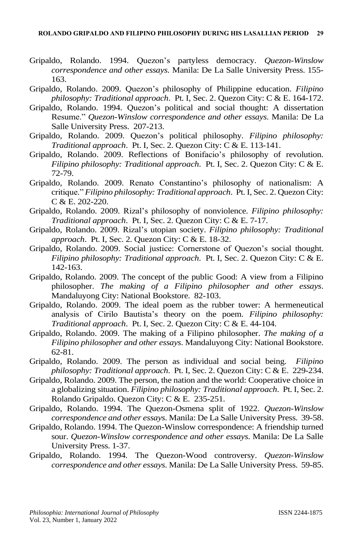- Gripaldo, Rolando. 1994. Quezon's partyless democracy. *Quezon-Winslow correspondence and other essays*. Manila: De La Salle University Press. 155- 163.
- Gripaldo, Rolando. 2009. Quezon's philosophy of Philippine education. *Filipino philosophy: Traditional approach*. Pt. I, Sec. 2. Quezon City: C & E. 164-172.
- Gripaldo, Rolando. 1994. Quezon's political and social thought: A dissertation Resume." *Quezon-Winslow correspondence and other essays*. Manila: De La Salle University Press. 207-213.
- Gripaldo, Rolando. 2009. Quezon's political philosophy. *Filipino philosophy: Traditional approach*. Pt. I, Sec. 2. Quezon City: C & E. 113-141.
- Gripaldo, Rolando. 2009. Reflections of Bonifacio's philosophy of revolution. *Filipino philosophy: Traditional approach*. Pt. I, Sec. 2. Quezon City: C & E. 72-79.
- Gripaldo, Rolando. 2009. Renato Constantino's philosophy of nationalism: A critique." *Filipino philosophy: Traditional approach*. Pt. I, Sec. 2. Quezon City: C & E. 202-220.
- Gripaldo, Rolando. 2009. Rizal's philosophy of nonviolence. *Filipino philosophy: Traditional approach*. Pt. I, Sec. 2. Quezon City: C & E. 7-17.
- Gripaldo, Rolando. 2009. Rizal's utopian society. *Filipino philosophy: Traditional approach*. Pt. I, Sec. 2. Quezon City: C & E. 18-32.
- Gripaldo, Rolando. 2009. Social justice: Cornerstone of Quezon's social thought. *Filipino philosophy: Traditional approach*. Pt. I, Sec. 2. Quezon City: C & E. 142-163.
- Gripaldo, Rolando. 2009. The concept of the public Good: A view from a Filipino philosopher. *The making of a Filipino philosopher and other essays*. Mandaluyong City: National Bookstore. 82-103.
- Gripaldo, Rolando. 2009. The ideal poem as the rubber tower: A hermeneutical analysis of Cirilo Bautista's theory on the poem. *Filipino philosophy: Traditional approach*. Pt. I, Sec. 2. Quezon City: C & E. 44-104.
- Gripaldo, Rolando. 2009. The making of a Filipino philosopher. *The making of a Filipino philosopher and other essays*. Mandaluyong City: National Bookstore. 62-81.
- Gripaldo, Rolando. 2009. The person as individual and social being. *Filipino philosophy: Traditional approach*. Pt. I, Sec. 2. Quezon City: C & E. 229-234.
- Gripaldo, Rolando. 2009. The person, the nation and the world: Cooperative choice in a globalizing situation. *Filipino philosophy: Traditional approach*. Pt. I, Sec. 2. Rolando Gripaldo. Quezon City: C & E. 235-251.
- Gripaldo, Rolando. 1994. The Quezon-Osmena split of 1922. *Quezon-Winslow correspondence and other essays*. Manila: De La Salle University Press. 39-58.
- Gripaldo, Rolando. 1994. The Quezon-Winslow correspondence: A friendship turned sour. *Quezon-Winslow correspondence and other essays*. Manila: De La Salle University Press. 1-37.
- Gripaldo, Rolando. 1994. The Quezon-Wood controversy. *Quezon-Winslow correspondence and other essays*. Manila: De La Salle University Press. 59-85.